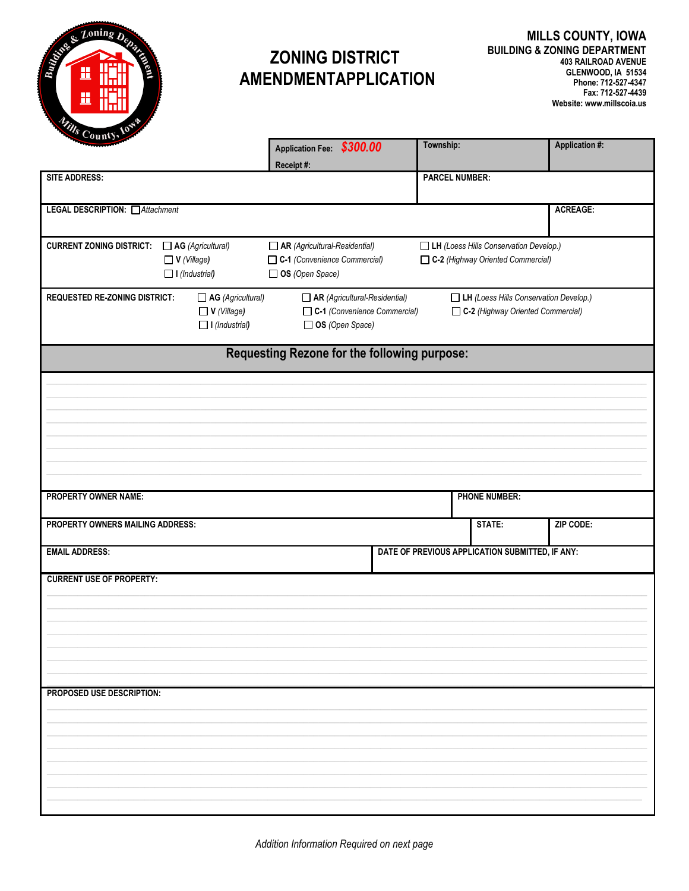

## **ZONING DISTRICT AMENDMENTAPPLICATION**

| vun                                          |                                                                         | Application Fee: \$300.00<br>Receipt#:                                                  | Township:                                                                          |                                                 | <b>Application #:</b> |  |
|----------------------------------------------|-------------------------------------------------------------------------|-----------------------------------------------------------------------------------------|------------------------------------------------------------------------------------|-------------------------------------------------|-----------------------|--|
| <b>SITE ADDRESS:</b>                         |                                                                         |                                                                                         | <b>PARCEL NUMBER:</b>                                                              |                                                 |                       |  |
| <b>LEGAL DESCRIPTION:</b> □ Attachment       |                                                                         |                                                                                         |                                                                                    |                                                 | <b>ACREAGE:</b>       |  |
| <b>CURRENT ZONING DISTRICT:</b>              | $\Box$ AG (Agricultural)<br>$\Box$ V (Village)<br>$\Box$ I (Industrial) | $\Box$ AR (Agricultural-Residential)<br>C-1 (Convenience Commercial)<br>OS (Open Space) | LH (Loess Hills Conservation Develop.)<br>C-2 (Highway Oriented Commercial)        |                                                 |                       |  |
| <b>REQUESTED RE-ZONING DISTRICT:</b>         | $\Box$ AG (Agricultural)<br>$\Box$ V (Village)<br>$\Box$ I (Industrial) | $\Box$ AR (Agricultural-Residential)<br>C-1 (Convenience Commercial)<br>OS (Open Space) | <b>LH</b> (Loess Hills Conservation Develop.)<br>C-2 (Highway Oriented Commercial) |                                                 |                       |  |
| Requesting Rezone for the following purpose: |                                                                         |                                                                                         |                                                                                    |                                                 |                       |  |
|                                              |                                                                         |                                                                                         |                                                                                    |                                                 |                       |  |
|                                              |                                                                         |                                                                                         |                                                                                    |                                                 |                       |  |
| <b>PROPERTY OWNER NAME:</b>                  |                                                                         |                                                                                         |                                                                                    | <b>PHONE NUMBER:</b>                            |                       |  |
| PROPERTY OWNERS MAILING ADDRESS:             |                                                                         |                                                                                         |                                                                                    | STATE:                                          | ZIP CODE:             |  |
| <b>EMAIL ADDRESS:</b>                        |                                                                         |                                                                                         |                                                                                    | DATE OF PREVIOUS APPLICATION SUBMITTED, IF ANY: |                       |  |
| <b>CURRENT USE OF PROPERTY:</b>              |                                                                         |                                                                                         |                                                                                    |                                                 |                       |  |
| PROPOSED USE DESCRIPTION:                    |                                                                         |                                                                                         |                                                                                    |                                                 |                       |  |
|                                              |                                                                         |                                                                                         |                                                                                    |                                                 |                       |  |
|                                              |                                                                         |                                                                                         |                                                                                    |                                                 |                       |  |